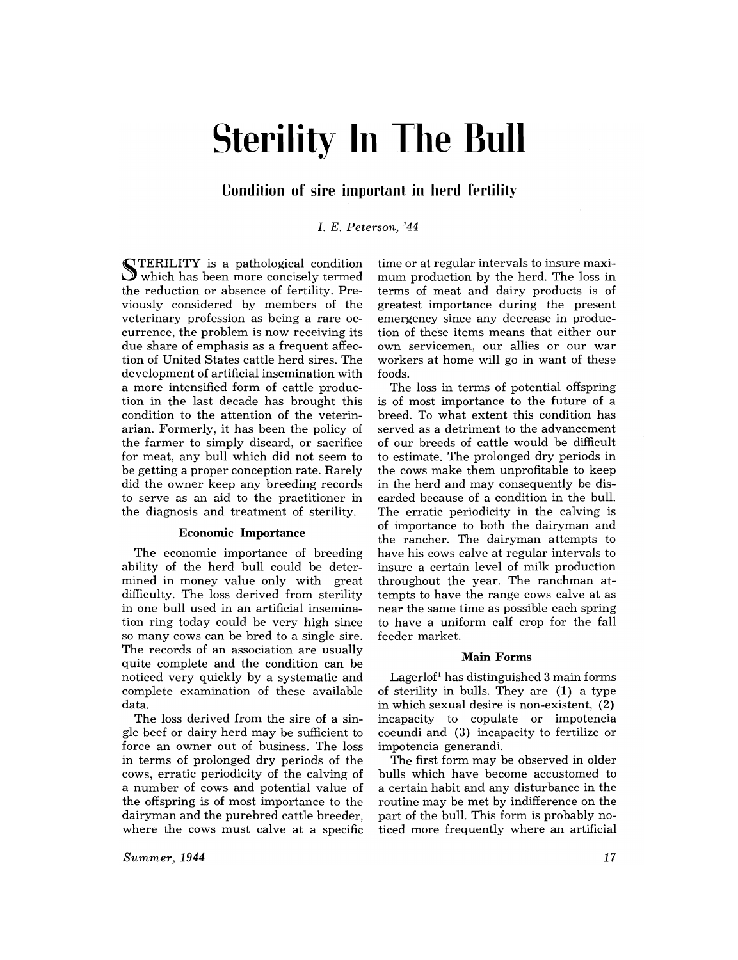# **Sterility In The Bull**

## Condition of sire important in herd fertility

*I. E. Peterson, '44* 

STERILITY is a pathological condition<br>S which has been more concisely termed the reduction or absence of fertility. Previously considered by members of the veterinary profession as being a rare occurrence, the problem is now receiving its due share of emphasis as a frequent affection of United States cattle herd sires. The development of artificial insemination with a more intensified form of cattle production in the last decade has brought this condition to the attention of the veterinarian. Formerly, it has been the policy of the farmer to simply discard, or sacrifice for meat, any bull which did not seem to be getting a proper conception rate. Rarely did the owner keep any breeding records to serve as an aid to the practitioner in the diagnosis and treatment of sterility.

### Economic Importance

The economic importance of breeding ability of the herd bull could be determined in money value only with great difficulty. The loss derived from sterility in one bull used in an artificial insemination ring today could be very high since so many cows can be bred to a single sire. The records of an association are usually quite complete and the condition can be noticed very quickly by a systematic and complete examination of these available data.

The loss derived from the sire of a single beef or dairy herd may be sufficient to force an owner out of business. The loss in terms of prolonged dry periods of the cows, erratic periodicity of the calving of a number of cows and potential value of the offspring is of most importance to the dairyman and the purebred cattle breeder, where the cows must calve at a specific time or at regular intervals to insure maximum production by the herd. The loss in terms of meat and dairy products is of greatest importance during the present emergency since any decrease in production of these items means that either our own servicemen, our allies or our war workers at home will go in want of these foods.

The loss in terms of potential offspring is of most importance to the future of a breed. To what extent this condition has served as a detriment to the advancement of our breeds of cattle would be difficult to estimate. The prolonged dry periods in the cows make them unprofitable to keep in the herd and may consequently be discarded because of a condition in the bull. The erratic periodicity in the calving is of importance to both the dairyman and the rancher. The dairyman attempts to have his cows calve at regular intervals to insure a certain level of milk production throughout the year. The ranchman attempts to have the range cows calve at as near the same time as possible each spring to have a uniform calf crop for the fall feeder market.

#### Main Forms

Lagerlof<sup>1</sup> has distinguished  $3$  main forms of sterility in bulls. They are (1) a type in which sexual desire is non-existent, (2) incapacity to copulate or impotencia coeundi and (3) incapacity to fertilize or impotencia generandi.

The first form may be observed in older bulls which have become accustomed to a certain habit and any disturbance in the routine may be met by indifference on the part of the bull. This form is probably noticed more frequently where an artificial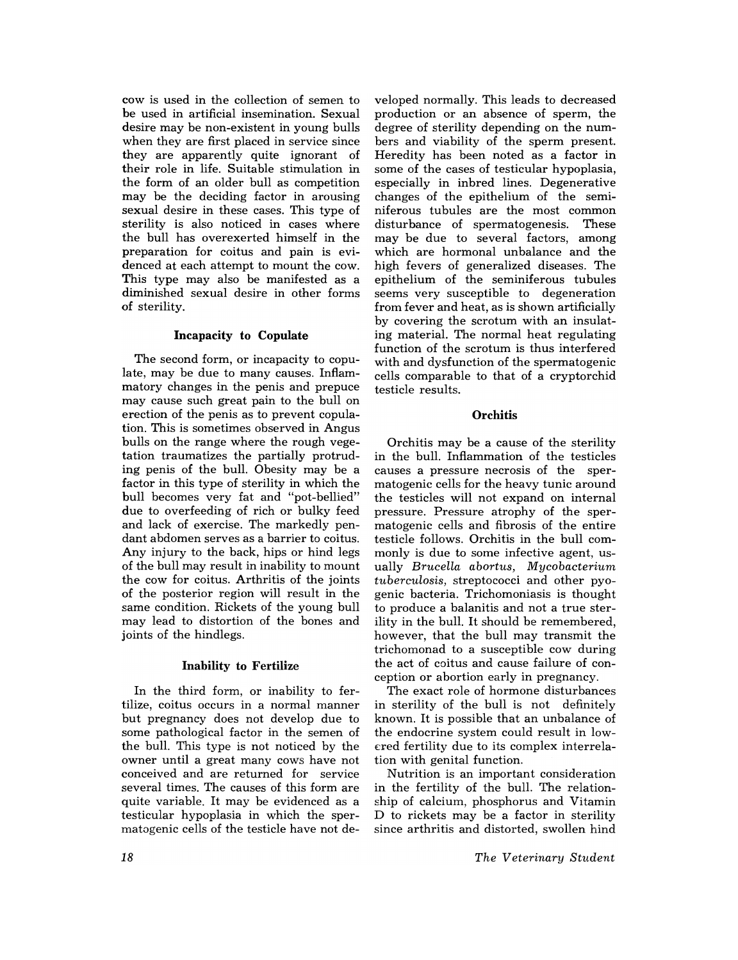cow is used in the collection of semen to be used in artificial insemination. Sexual desire may be non-existent in young bulls when they are first placed in service since they are apparently quite ignorant of their role in life. Suitable stimulation in the form of an older bull as competition may be the deciding factor in arousing sexual desire in these cases. This type of sterility is also noticed in cases where the bull has overexerted himself in the preparation for coitus and pain is evidenced at each attempt to mount the cow. This type may also be manifested as a diminished sexual desire in other forms of sterility.

#### Incapacity to Copulate

The second form, or incapacity to copulate, may be due to many causes. Inflammatory changes in the penis and prepuce may cause such great pain to the bull on erection of the penis as to prevent copulation. This is sometimes observed in Angus bulls on the range where the rough vegetation traumatizes the partially protruding penis of the bull. Obesity may be a factor in this type of sterility in which the bull becomes very fat and "pot-bellied" due to overfeeding of rich or bulky feed and lack of exercise. The markedly pendant abdomen serves as a barrier to coitus. Any injury to the back, hips or hind legs of the bull may result in inability to mount the cow for coitus. Arthritis of the joints of the posterior region will result in the same condition. Rickets of the young bull may lead to distortion of the bones and joints of the hindlegs.

### Inability to Fertilize

In the third form, or inability to fertilize, coitus occurs in a normal manner but pregnancy does not develop due to some pathological factor in the semen of the bull. This type is not noticed by the owner until a great many cows have not conceived and are returned for service several times. The causes of this form are quite variable. It may be evidenced as a testicular hypoplasia in which the spermatogenic cells of the testicle have not de-

veloped normally. This leads to decreased production or an absence of sperm, the degree of sterility depending on the numbers and viability of the sperm present. Heredity has been noted as a factor in some of the cases of testicular hypoplasia, especially in inbred lines. Degenerative changes of the epithelium of the seminiferous tubules are the most common disturbance of spermatogenesis. These may be due to several factors, among which are hormonal unbalance and the high fevers of generalized diseases. The epithelium of the seminiferous tubules seems very susceptible to degeneration from fever and heat, as is shown artificially by covering the scrotum with an insulating material. The normal heat regulating function of the scrotum is thus interfered with and dysfunction of the spermatogenic cells comparable to that of a cryptorchid testicle results.

#### **Orchitis**

Orchitis may be a cause of the sterility in the bull. Inflammation of the testicles causes a pressure necrosis of the spermatogenic cells for the heavy tunic around the testicles will not expand on internal pressure. Pressure atrophy of the spermatogenic cells and fibrosis of the entire testicle follows. Orchitis in the bull commonly is due to some infective agent, usually *Brucella abortus, Mycobacterium tuberculosis,* streptococci and other pyogenic bacteria. Trichomoniasis is thought to produce a balanitis and not a true sterility in the bull. It should be remembered, however, that the bull may transmit the trichomonad to a susceptible cow during the act of coitus and cause failure of conception or abortion early in pregnancy.

The exact role of hormone disturbances in sterility of the bull is not definitely known. It is possible that an unbalance of the endocrine system could result in lowered fertility due to its complex interrelation with genital function.

Nutrition is an important consideration in the fertility of the bull. The relationship of calcium, phosphorus and Vitamin D to rickets may be a factor in sterility since arthritis and distorted, swollen hind

*The Veterinary Student*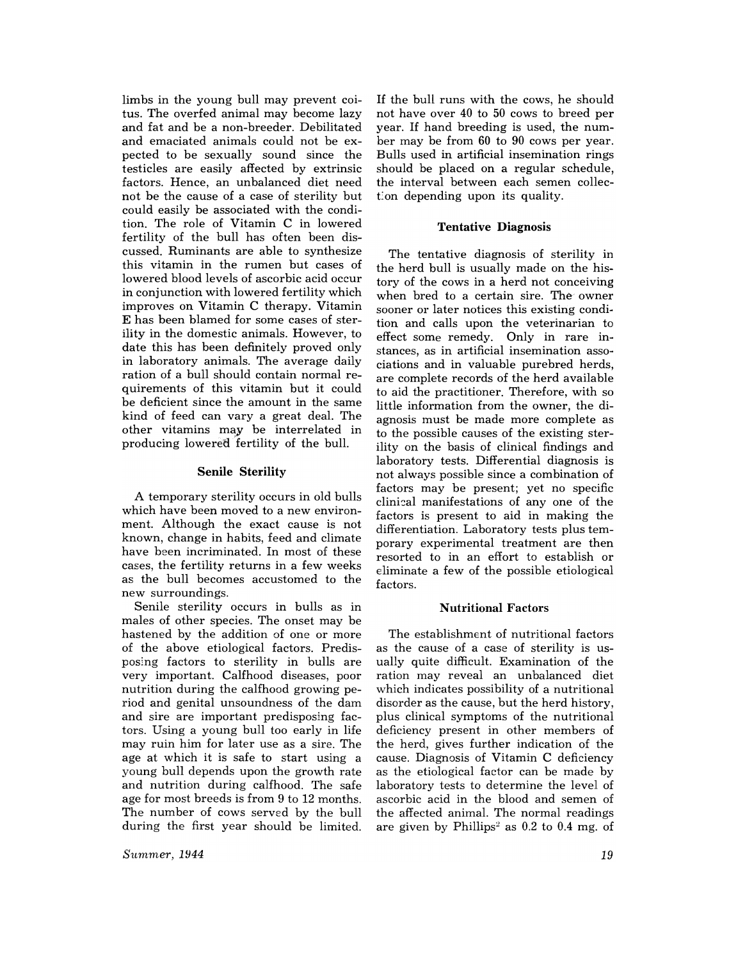limbs in the young bull may prevent coitus. The overfed animal may become lazy and fat and be a non-breeder. Debilitated and emaciated animals could not be expected to be sexually sound since the testicles are easily affected by extrinsic factors. Hence, an unbalanced diet need not be the cause of a case of sterility but could easily be associated with the condition. The role of Vitamin C in lowered fertility of the bull has often been discussed. Ruminants are able to synthesize this vitamin in the rumen but cases of lowered blood levels of ascorbic acid occur in conjunction with lowered fertility which improves on Vitamin C therapy. Vitamin E has been blamed for some cases of sterility in the domestic animals. However, to date this has been definitely proved only in laboratory animals. The average daily ration of a bull should contain normal requirements of this vitamin but it could be deficient since the amount in the same kind of feed can vary a great deal. The other vitamins may be interrelated in producing lowered fertility of the bull.

### **Senile Sterility**

A temporary sterility occurs in old bulls which have been moved to a new environment. Although the exact cause is not known, change in habits, feed and climate have been incriminated. In most of these cases, the fertility returns in a few weeks as the bull becomes accustomed to the new surroundings.

Senile sterility occurs in bulls as in males of other species. The onset may be hastened by the addition of one or more of the above etiological factors. Predisposing factors to sterility in bulls are very important. Calfhood diseases, poor nutrition during the calfhood growing period and genital unsoundness of the dam and sire are important predisposing factors. Using a young bull too early in life may ruin him for later use as a sire. The age at which it is safe to start using a young bull depends upon the growth rate and nutrition during calfhood. The safe age for most breeds is from 9 to 12 months. The number of cows served by the bull during the first year should be limited.

*Summer,* 1944

If the bull runs with the cows, he should not have over 40 to 50 cows to breed per year. If hand breeding is used, the number may be from 60 to 90 cows per year. Bulls used in artificial insemination rings should be placed on a regular schedule, the interval between each semen collection depending upon its quality.

#### **Tentative Diagnosis**

The tentative diagnosis of sterility in the herd bull is usually made on the history of the cows in a herd not conceiving when bred to a certain sire. The owner sooner or later notices this existing condition and calls upon the veterinarian to effect some remedy. Only in rare instances, as in artificial insemination associations and in valuable purebred herds, are complete records of the herd available to aid the practitioner. Therefore, with so little information from the owner, the diagnosis must be made more complete as to the possible causes of the existing sterility on the basis of clinical findings and laboratory tests. Differential diagnosis is not always possible since a combination of factors may be present; yet no specific clinical manifestations of any one of the factors is present to aid in making the differentiation. Laboratory tests plus temporary experimental treatment are then resorted to in an effort to establish or eliminate a few of the possible etiological factors.

#### **Nutritional** Factors

The establishment of nutritional factors as the cause of a case of sterility is usually quite difficult. Examination of the ration may reveal an unbalanced diet which indicates possibility of a nutritional disorder as the cause, but the herd history, plus clinical symptoms of the nutritional deficiency present in other members of the herd, gives further indication of the cause. Diagnosis of Vitamin C deficiency as the etiological factor can be made by laboratory tests to determine the level of ascorbic acid in the blood and semen of the affected animal. The normal readings are given by Phillips<sup>2</sup> as  $0.2$  to  $0.4$  mg. of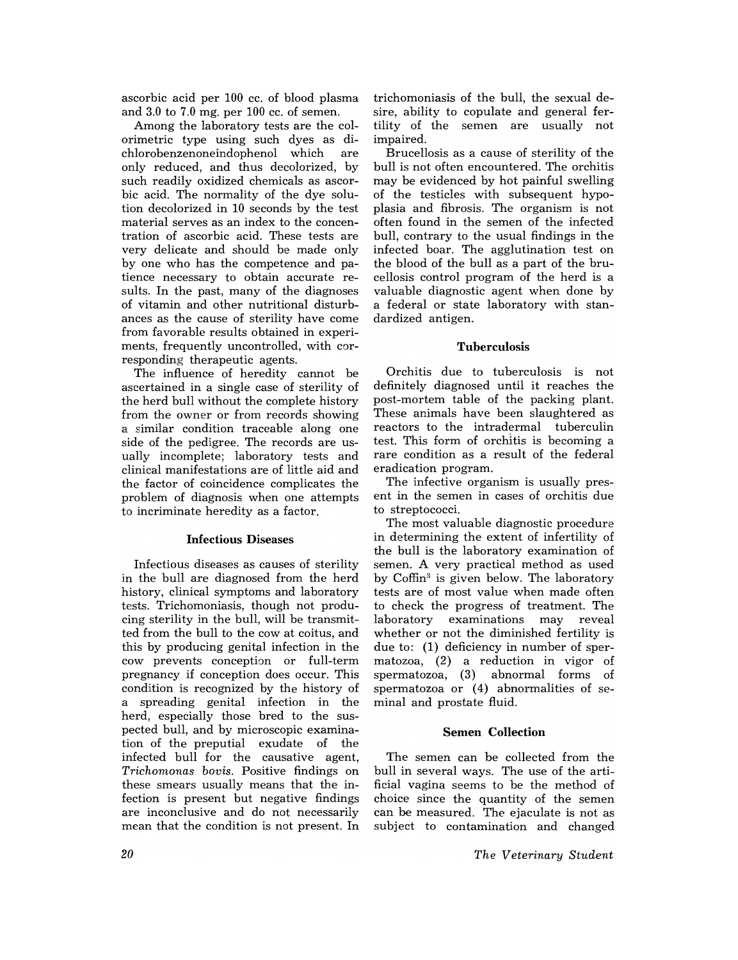ascorbic acid per 100 cc. of blood plasma and 3.0 to 7.0 mg. per 100 cc. of semen.

Among the laboratory tests are the colorimetric type using such dyes as dichlorobenzenoneindophenol which are only reduced, and thus decolorized, by such readily oxidized chemicals as ascorbic acid. The normality of the dye solution decolorized in 10 seconds by the test material serves as an index to the concentration of ascorbic acid. These tests are very delicate and should be made only by one who has the competence and patience necessary to obtain accurate results. In the past, many of the diagnoses of vitamin and other nutritional disturbances as the cause of sterility have come from favorable results obtained in experiments, frequently uncontrolled, with corresponding therapeutic agents.

The influence of heredity cannot be ascertained in a single case of sterility of the herd bull without the complete history from the owner or from records showing a similar condition traceable along one side of the pedigree. The records are usually incomplete; laboratory tests and clinical manifestations are of little aid and the factor of coincidence complicates the problem of diagnosis when one attempts to incriminate heredity as a factor.

#### Infectious Diseases

Infectious diseases as causes of sterility in the bull are diagnosed from the herd history, clinical symptoms and laboratory tests. Trichomoniasis, though not producing sterility in the bull, will be transmitted from the bull to the cow at coitus, and this by producing genital infection in the cow prevents conception or full-term pregnancy if conception does occur. This condition is recognized by the history of<br>a spreading genital infection in the spreading genital infection in the herd, especially those bred to the suspected bull, and by microscopic examination of the preputial exudate of the infected bull for the causative agent, *Trichomonas bovis.* Positive findings on these smears usually means that the infection is present but negative findings are inconclusive and do not necessarily mean that the condition is not present. In trichomoniasis of the bull, the sexual desire, ability to copulate and general fertility of the semen are usually not impaired.

Brucellosis as a cause of sterility of the bull is not often encountered. The orchitis may be evidenced by hot painful swelling of the testicles with subsequent hypoplasia and fibrosis. The organism is not often found in the semen of the infected bull, contrary to the usual findings in the infected boar. The agglutination test on the blood of the bull as a part of the brucellosis control program of the herd is a valuable diagnostic agent when done by a federal or state laboratory with standardized antigen.

#### Tuberculosis

Orchitis due to tuberculosis is not definitely diagnosed until it reaches the post-mortem table of the packing plant. These animals have been slaughtered as reactors to the intradermal tuberculin test. This form of orchitis is becoming a rare condition as a result of the federal eradication program.

The infective organism is usually present in the semen in cases of orchitis due to streptococci.

The most valuable diagnostic procedure in determining the extent of infertility of the bull is the laboratory examination of semen. A very practical method as used by Coffin<sup>3</sup> is given below. The laboratory tests are of most value when made often to check the progress of treatment. The<br>laboratory examinations may reveal examinations may reveal whether or not the diminished fertility is due to: (1) deficiency in number of spermatozoa, (2) a reduction in vigor of abnormal forms of spermatozoa or (4) abnormalities of seminal and prostate fluid.

### Semen Collection

The semen can be collected from the bull in several ways. The use of the artificial vagina seems to be the method of choice since the quantity of the semen can be measured. The ejaculate is not as subject to contamination and changed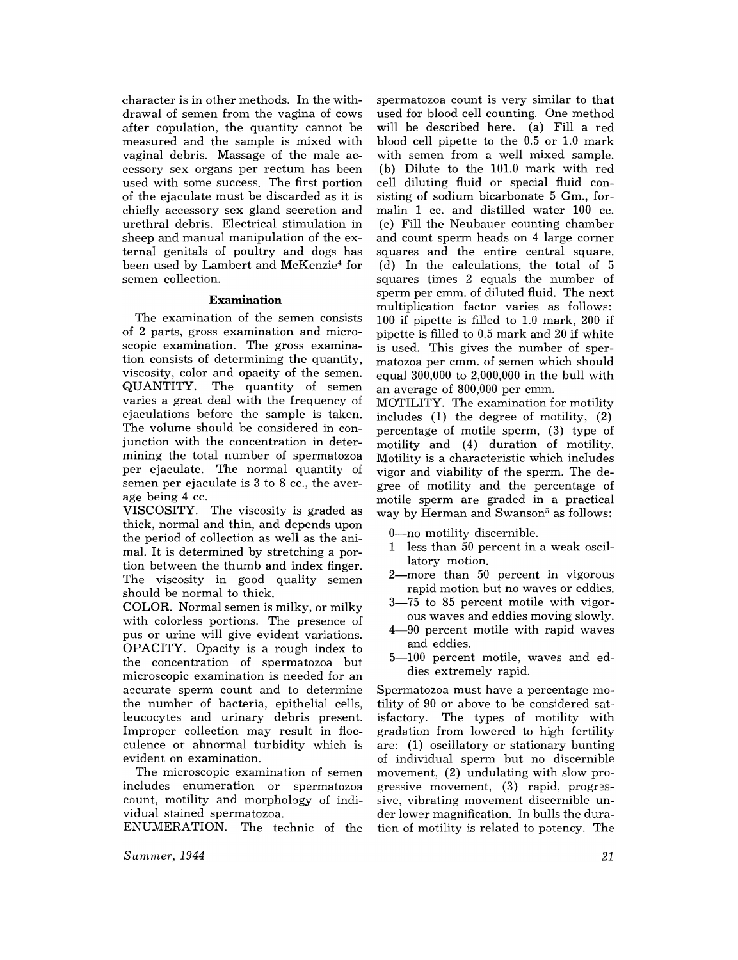character is in other methods. In the withdrawal of semen from the vagina of cows after copulation, the quantity cannot be measured and the sample is mixed with vaginal debris. Massage of the male accessory sex organs per rectum has been used with some success. The first portion of the ejaculate must be discarded as it is chiefly accessory sex gland secretion and urethral debris. Electrical stimulation in sheep and manual manipulation of the external genitals of poultry and dogs has been used by Lambert and McKenzie' for semen collection.

#### **Examination**

The examination of the semen consists of 2 parts, gross examination and microscopic examination. The gross examination consists of determining the quantity, viscosity, color and opacity of the semen. QUANTITY. The quantity of semen varies a great deal with the frequency of ejaculations before the sample is taken. The volume should be considered in conjunction with the concentration in determining the total number of spermatozoa per ejaculate. The normal quantity of semen per ejaculate is 3 to 8 cc., the average being 4 cc.

VISCOSITY. The viscosity is graded as thick, normal and thin, and depends upon the period of collection as well as the animal. It is determined by stretching a portion between the thumb and index finger. The viscosity in good quality semen should be normal to thick.

COLOR. Normal semen is milky, or milky with colorless portions. The presence of pus or urine will give evident variations. OPACITY. Opacity is a rough index to the concentration of spermatozoa but microscopic examination is needed for an accurate sperm count and to determine the number of bacteria, epithelial cells, leucocytes and urinary debris present. Improper collection may result in flocculence or abnormal turbidity which is evident on examination.

The microscopic examination of semen includes enumeration or spermatozoa count, motility and morphology of individual stained spermatozoa.

ENUMERATION. The technic of the

spermatozoa count is very similar to that used for blood cell counting. One method will be described here. (a) Fill a red blood cell pipette to the 0.5 or 1.0 mark with semen from a well mixed sample. (b) Dilute to the 101.0 mark with red cell diluting fluid or special fluid consisting of sodium bicarbonate 5 Gm., formalin 1 cc. and distilled water 100 cc. (c) Fill the Neubauer counting chamber and count sperm heads on 4 large corner squares and the entire central square. (d) In the calculations, the total of 5 squares times 2 equals the number of sperm per cmm. of diluted fluid. The next multiplication factor varies as follows: 100 if pipette is filled to 1.0 mark, 200 if pipette is filled to 0.5 mark and 20 if white is used. This gives the number of spermatozoa per cmm. of semen which should equal 300,000 to 2,000,000 in the bull with an average of 800,000 per cmm.

MOTILITY. The examination for motility includes (1) the degree of motility, (2) percentage of motile sperm, (3) type of motility and (4) duration of motility. Motility is a characteristic which includes vigor and viability of the sperm. The degree of motility and the percentage of motile sperm are graded in a practical way by Herman and Swanson<sup>5</sup> as follows:

0-no motility discernible.

- 1—less than 50 percent in a weak oscillatory motion.
- 2-more than 50 percent in vigorous rapid motion but no waves or eddies.
- 3-75 to 85 percent motile with vigorous waves and eddies moving slowly.
- 4-90 percent motile with rapid waves and eddies.
- 5-100 percent motile, waves and eddies extremely rapid.

Spermatozoa must have a percentage motility of 90 or above to be considered satisfactory. The types of motility with gradation from lowered to high fertility are: (1) oscillatory or stationary bunting of individual sperm but no discernible movement, (2) undulating with slow progressive movement, (3) rapid, progressive, vibrating movement discernible under lower magnification. In bulls the duration of motility is related to potency. The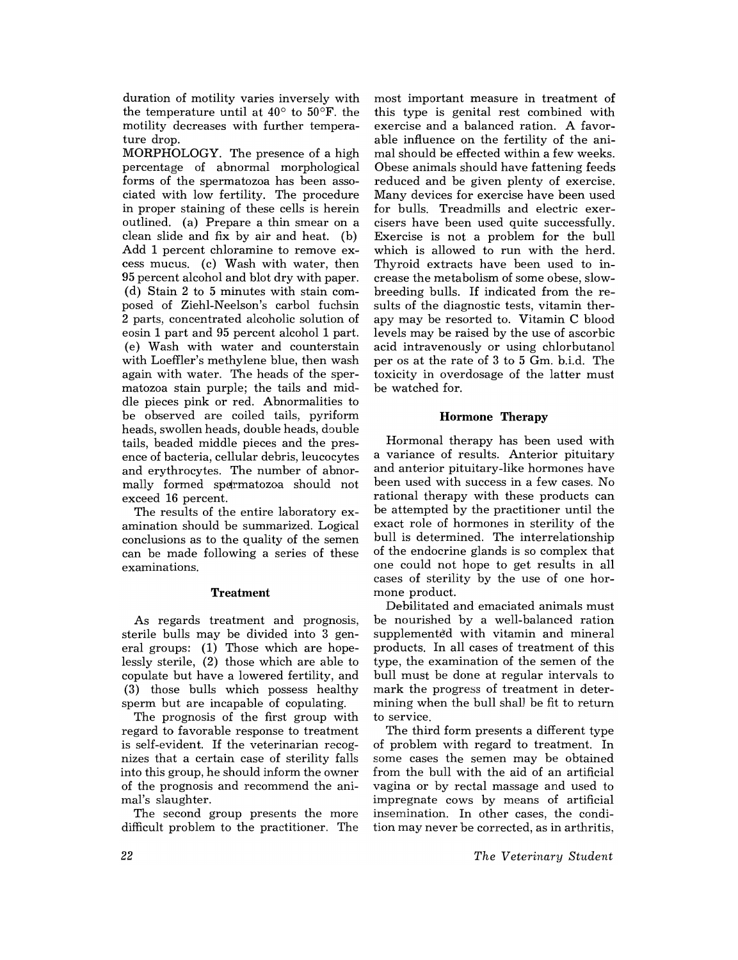duration of motility varies inversely with the temperature until at  $40^{\circ}$  to  $50^{\circ}$ F, the motility decreases with further temperature drop.

MORPHOLOGY. The presence of a high percentage of abnormal morphological forms of the spermatozoa has been associated with low fertility. The procedure in proper staining of these cells is herein outlined. (a) Prepare a thin smear on a clean slide and fix by air and heat. (b) Add 1 percent chloramine to remove excess mucus. (c) Wash with water, then 95 percent alcohol and blot dry with paper. (d) Stain 2 to 5 minutes with stain composed of Ziehl-Neelson's carbol fuchsin 2 parts, concentrated alcoholic solution of eosin 1 part and 95 percent alcohol 1 part. (e) Wash with water and counterstain with Loeffler's methylene blue, then wash again with water. The heads of the spermatozoa stain purple; the tails and middle pieces pink or red. Abnormalities to be observed are coiled tails, pyriform heads, swollen heads, double heads, double tails, beaded middle pieces and the presence of bacteria, cellular debris, leucocytes and erythrocytes. The number of abnormally formed spermatozoa should not exceed 16 percent.

The results of the entire laboratory examination should be summarized. Logical conclusions as to the quality of the semen can be made following a series of these examinations.

### Treatment

As regards treatment and prognosis, sterile bulls may be divided into 3 general groups: (1) Those which are hopelessly sterile, (2) those which are able to copulate but have a lowered fertility, and (3) those bulls which possess healthy sperm but are incapable of copulating.

The prognosis of the first group with regard to favorable response to treatment is self-evident. If the veterinarian recognizes that a certain case of sterility falls into this group, he should inform the owner of the prognosis and recommend the animal's slaughter.

The second group presents the more difficult problem to the practitioner. The most important measure in treatment of this type is genital rest combined with exercise and a balanced ration. A favorable influence on the fertility of the animal should be effected within a few weeks. Obese animals should have fattening feeds reduced and be given plenty of exercise. Many devices for exercise have been used for bulls. Treadmills and electric exercisers have been used quite successfully. Exercise is not a problem for the bull which is allowed to run with the herd. Thyroid extracts have been used to increase the metabolism of some obese, slowbreeding bulls. If indicated from the results of the diagnostic tests, vitamin therapy may be resorted to. Vitamin C blood levels may be raised by the use of ascorbic acid intravenously or using chlorbutanol per os at the rate of 3 to 5 Gm. b.i.d. The toxicity in overdosage of the latter must be watched for.

#### Hormone Therapy

Hormonal therapy has been used with a variance of results. Anterior pituitary and anterior pituitary-like hormones have been used with success in a few cases. No rational therapy with these products can be attempted by the practitioner until the exact role of hormones in sterility of the bull is determined. The interrelationship of the endocrine glands is so complex that one could not hope to get results in all cases of sterility by the use of one hormone· product.

Debilitated and emaciated animals must be nourished by a well-balanced ration supplemented with vitamin and mineral products. In all cases of treatment of this type, the examination of the semen of the bull must be done at regular intervals to mark the progress of treatment in determining when the bull shall be fit to return to service.

The third form presents a different type of problem with regard to treatment. In some cases the semen may be obtained from the bull with the aid of an artificial vagina or by rectal massage and used to impregnate cows by means of artificial insemination. In other cases, the condition may never be corrected, as in arthritis,